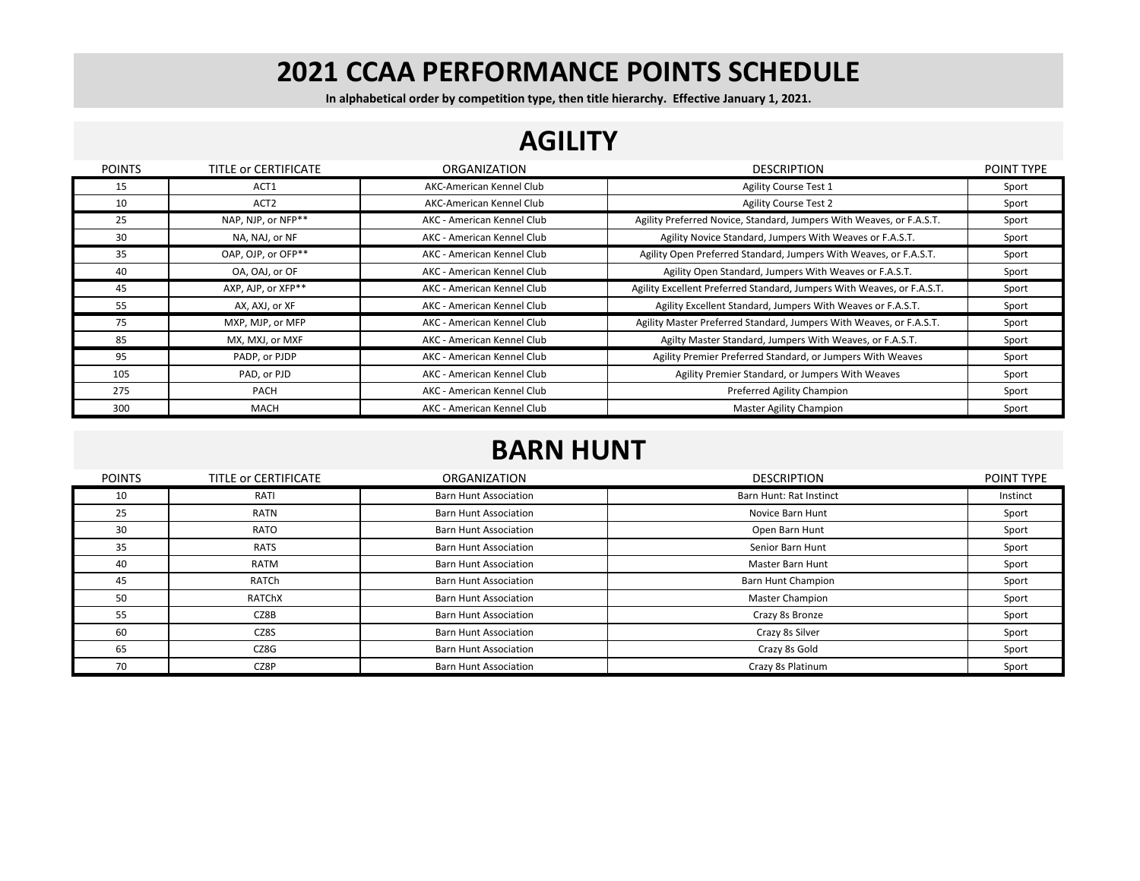**In alphabetical order by competition type, then title hierarchy. Effective January 1, 2021.**

#### **AGILITY**

| <b>POINTS</b> | TITLE OF CERTIFICATE | ORGANIZATION               | <b>DESCRIPTION</b>                                                     | POINT TYPE |
|---------------|----------------------|----------------------------|------------------------------------------------------------------------|------------|
| 15            | ACT1                 | AKC-American Kennel Club   | Agility Course Test 1                                                  | Sport      |
| 10            | ACT <sub>2</sub>     | AKC-American Kennel Club   | <b>Agility Course Test 2</b>                                           | Sport      |
| 25            | NAP, NJP, or NFP**   | AKC - American Kennel Club | Agility Preferred Novice, Standard, Jumpers With Weaves, or F.A.S.T.   | Sport      |
| 30            | NA, NAJ, or NF       | AKC - American Kennel Club | Agility Novice Standard, Jumpers With Weaves or F.A.S.T.               | Sport      |
| 35            | OAP, OJP, or OFP**   | AKC - American Kennel Club | Agility Open Preferred Standard, Jumpers With Weaves, or F.A.S.T.      | Sport      |
| 40            | OA, OAJ, or OF       | AKC - American Kennel Club | Agility Open Standard, Jumpers With Weaves or F.A.S.T.                 | Sport      |
| 45            | AXP, AJP, or XFP**   | AKC - American Kennel Club | Agility Excellent Preferred Standard, Jumpers With Weaves, or F.A.S.T. | Sport      |
| 55            | AX, AXJ, or XF       | AKC - American Kennel Club | Agility Excellent Standard, Jumpers With Weaves or F.A.S.T.            | Sport      |
| 75            | MXP, MJP, or MFP     | AKC - American Kennel Club | Agility Master Preferred Standard, Jumpers With Weaves, or F.A.S.T.    | Sport      |
| 85            | MX, MXJ, or MXF      | AKC - American Kennel Club | Agilty Master Standard, Jumpers With Weaves, or F.A.S.T.               | Sport      |
| 95            | PADP, or PJDP        | AKC - American Kennel Club | Agility Premier Preferred Standard, or Jumpers With Weaves             | Sport      |
| 105           | PAD, or PJD          | AKC - American Kennel Club | Agility Premier Standard, or Jumpers With Weaves                       | Sport      |
| 275           | <b>PACH</b>          | AKC - American Kennel Club | Preferred Agility Champion                                             | Sport      |
| 300           | <b>MACH</b>          | AKC - American Kennel Club | Master Agility Champion                                                | Sport      |

#### **BARN HUNT**

| <b>POINTS</b> | TITLE OF CERTIFICATE | <b>ORGANIZATION</b>          | <b>DESCRIPTION</b>        | POINT TYPE |
|---------------|----------------------|------------------------------|---------------------------|------------|
| 10            | RATI                 | Barn Hunt Association        | Barn Hunt: Rat Instinct   | Instinct   |
| 25            | RATN                 | <b>Barn Hunt Association</b> | Novice Barn Hunt          | Sport      |
| 30            | RATO                 | Barn Hunt Association        | Open Barn Hunt            | Sport      |
| 35            | <b>RATS</b>          | <b>Barn Hunt Association</b> | Senior Barn Hunt          | Sport      |
| 40            | RATM                 | <b>Barn Hunt Association</b> | <b>Master Barn Hunt</b>   | Sport      |
| 45            | RATCh                | <b>Barn Hunt Association</b> | <b>Barn Hunt Champion</b> | Sport      |
| 50            | RATChX               | Barn Hunt Association        | <b>Master Champion</b>    | Sport      |
| 55            | CZ8B                 | <b>Barn Hunt Association</b> | Crazy 8s Bronze           | Sport      |
| 60            | CZ8S                 | <b>Barn Hunt Association</b> | Crazy 8s Silver           | Sport      |
| 65            | CZ8G                 | <b>Barn Hunt Association</b> | Crazy 8s Gold             | Sport      |
| 70            | CZ8P                 | <b>Barn Hunt Association</b> | Crazy 8s Platinum         | Sport      |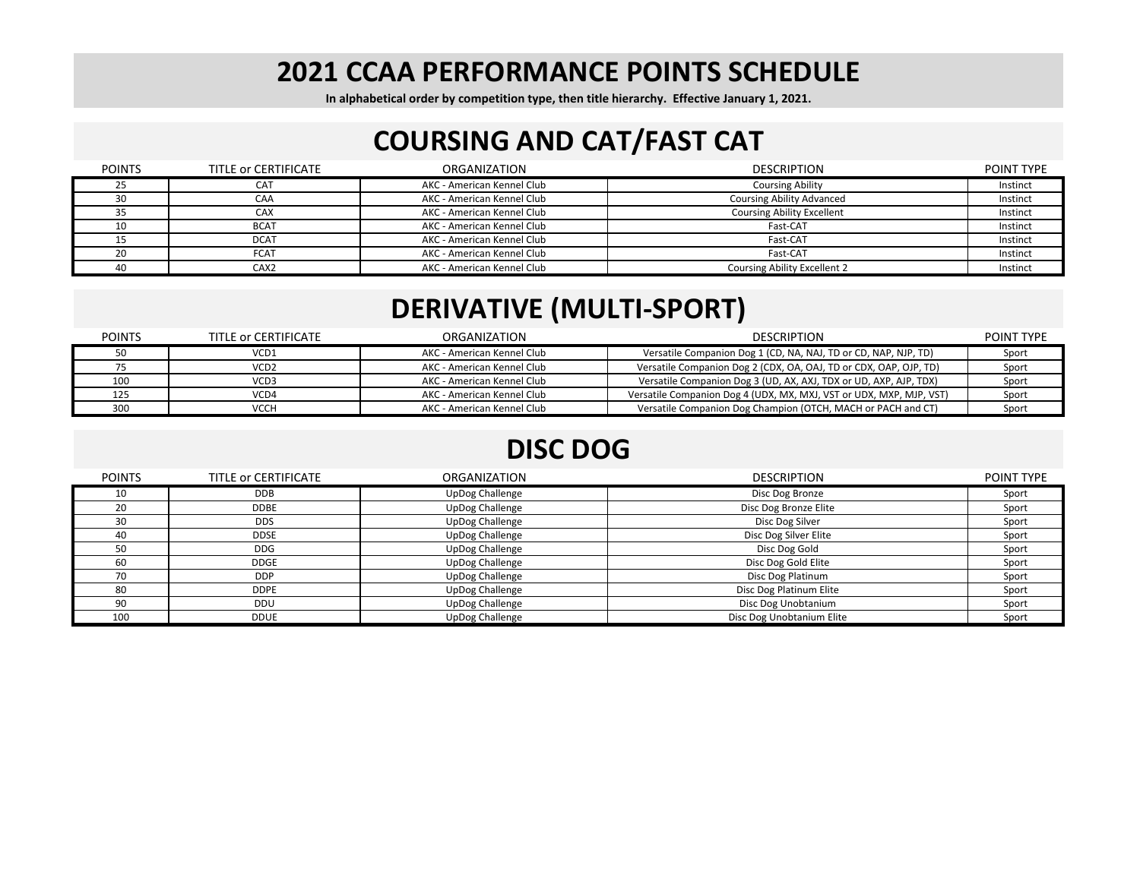**In alphabetical order by competition type, then title hierarchy. Effective January 1, 2021.**

### **COURSING AND CAT/FAST CAT**

| <b>POINTS</b> | TITLE or CERTIFICATE | ORGANIZATION               | <b>DESCRIPTION</b>                  | POINT TYPE |
|---------------|----------------------|----------------------------|-------------------------------------|------------|
| 25            | <b>CAT</b>           | AKC - American Kennel Club | <b>Coursing Ability</b>             | Instinct   |
| 30            | CAA                  | AKC - American Kennel Club | <b>Coursing Ability Advanced</b>    | Instinct   |
| 35            | CAX                  | AKC - American Kennel Club | <b>Coursing Ability Excellent</b>   | Instinct   |
| 10            | <b>BCAT</b>          | AKC - American Kennel Club | Fast-CAT                            | Instinct   |
|               | <b>DCAT</b>          | AKC - American Kennel Club | Fast-CAT                            | Instinct   |
| 20            | <b>FCAT</b>          | AKC - American Kennel Club | Fast-CAT                            | Instinct   |
| 40            | CAX <sub>2</sub>     | AKC - American Kennel Club | <b>Coursing Ability Excellent 2</b> | Instinct   |

# **DERIVATIVE (MULTI‐SPORT)**

| <b>POINTS</b> | TITLE or CERTIFICATE | ORGANIZATION               | <b>DESCRIPTION</b>                                                  | <b>POINT TYPE</b> |
|---------------|----------------------|----------------------------|---------------------------------------------------------------------|-------------------|
|               | VCD1                 | AKC - American Kennel Club | Versatile Companion Dog 1 (CD, NA, NAJ, TD or CD, NAP, NJP, TD)     | Sport             |
|               | VCD2                 | AKC - American Kennel Club | Versatile Companion Dog 2 (CDX, OA, OAJ, TD or CDX, OAP, OJP, TD)   | Sport             |
| 100           | VCD3                 | AKC - American Kennel Club | Versatile Companion Dog 3 (UD, AX, AXJ, TDX or UD, AXP, AJP, TDX)   | Sport             |
| 125           | VCD4                 | AKC - American Kennel Club | Versatile Companion Dog 4 (UDX, MX, MXJ, VST or UDX, MXP, MJP, VST) | Sport             |
| 300           | VCCH                 | AKC - American Kennel Club | Versatile Companion Dog Champion (OTCH, MACH or PACH and CT)        | Sport             |

# **DISC DOG**

| <b>POINTS</b> | TITLE OF CERTIFICATE | <b>ORGANIZATION</b> | <b>DESCRIPTION</b>        | POINT TYPE |
|---------------|----------------------|---------------------|---------------------------|------------|
| 10            | DDB.                 | UpDog Challenge     | Disc Dog Bronze           | Sport      |
| 20            | <b>DDBE</b>          | UpDog Challenge     | Disc Dog Bronze Elite     | Sport      |
| 30            | <b>DDS</b>           | UpDog Challenge     | Disc Dog Silver           | Sport      |
| 40            | <b>DDSE</b>          | UpDog Challenge     | Disc Dog Silver Elite     | Sport      |
| 50            | <b>DDG</b>           | UpDog Challenge     | Disc Dog Gold             | Sport      |
| 60            | <b>DDGE</b>          | UpDog Challenge     | Disc Dog Gold Elite       | Sport      |
| 70            | DDP                  | UpDog Challenge     | Disc Dog Platinum         | Sport      |
| 80            | <b>DDPE</b>          | UpDog Challenge     | Disc Dog Platinum Elite   | Sport      |
| 90            | DDU                  | UpDog Challenge     | Disc Dog Unobtanium       | Sport      |
| 100           | <b>DDUE</b>          | UpDog Challenge     | Disc Dog Unobtanium Elite | Sport      |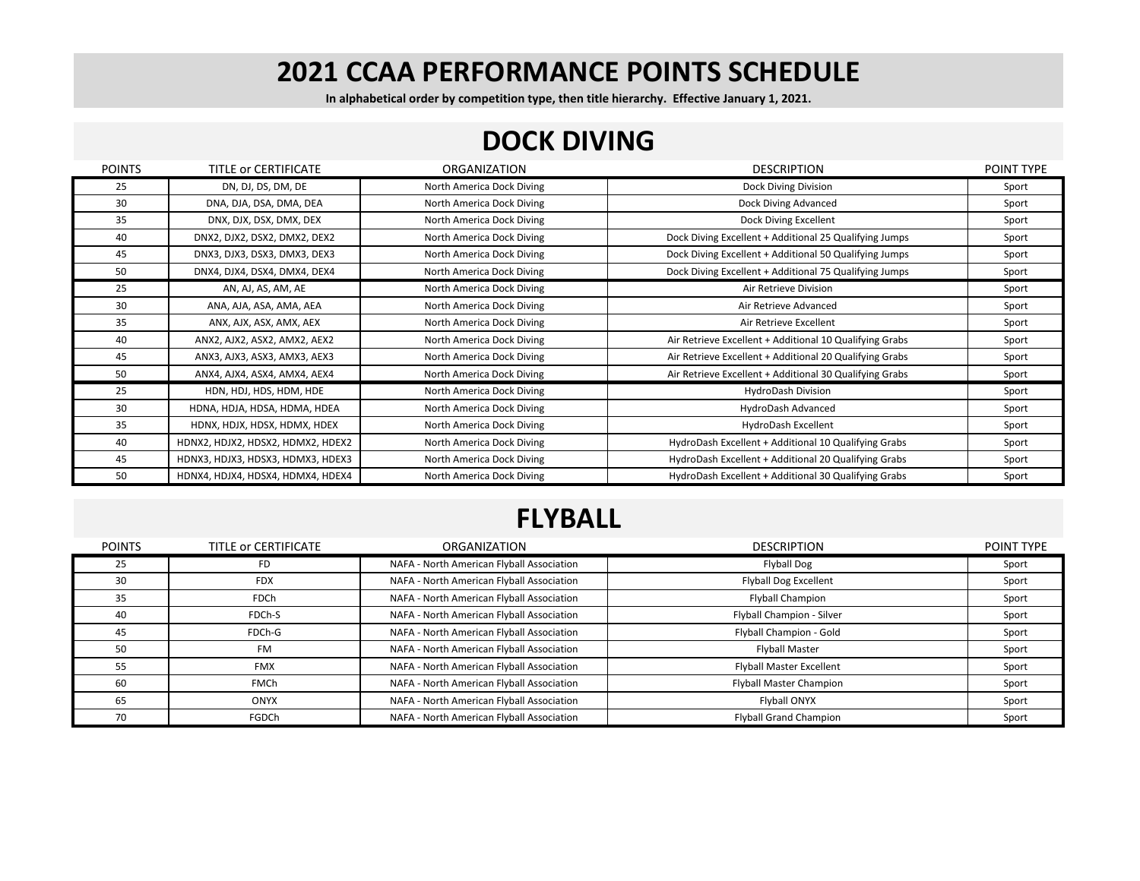**In alphabetical order by competition type, then title hierarchy. Effective January 1, 2021.**

#### **DOCK DIVING**

| <b>POINTS</b> | TITLE OF CERTIFICATE              | ORGANIZATION              | <b>DESCRIPTION</b>                                      | POINT TYPE |
|---------------|-----------------------------------|---------------------------|---------------------------------------------------------|------------|
| 25            | DN, DJ, DS, DM, DE                | North America Dock Diving | Dock Diving Division                                    | Sport      |
| 30            | DNA, DJA, DSA, DMA, DEA           | North America Dock Diving | Dock Diving Advanced                                    | Sport      |
| 35            | DNX, DJX, DSX, DMX, DEX           | North America Dock Diving | Dock Diving Excellent                                   | Sport      |
| 40            | DNX2, DJX2, DSX2, DMX2, DEX2      | North America Dock Diving | Dock Diving Excellent + Additional 25 Qualifying Jumps  | Sport      |
| 45            | DNX3, DJX3, DSX3, DMX3, DEX3      | North America Dock Diving | Dock Diving Excellent + Additional 50 Qualifying Jumps  | Sport      |
| 50            | DNX4, DJX4, DSX4, DMX4, DEX4      | North America Dock Diving | Dock Diving Excellent + Additional 75 Qualifying Jumps  | Sport      |
| 25            | AN, AJ, AS, AM, AE                | North America Dock Diving | Air Retrieve Division                                   | Sport      |
| 30            | ANA, AJA, ASA, AMA, AEA           | North America Dock Diving | Air Retrieve Advanced                                   | Sport      |
| 35            | ANX, AJX, ASX, AMX, AEX           | North America Dock Diving | Air Retrieve Excellent                                  | Sport      |
| 40            | ANX2, AJX2, ASX2, AMX2, AEX2      | North America Dock Diving | Air Retrieve Excellent + Additional 10 Qualifying Grabs | Sport      |
| 45            | ANX3, AJX3, ASX3, AMX3, AEX3      | North America Dock Diving | Air Retrieve Excellent + Additional 20 Qualifying Grabs | Sport      |
| 50            | ANX4, AJX4, ASX4, AMX4, AEX4      | North America Dock Diving | Air Retrieve Excellent + Additional 30 Qualifying Grabs | Sport      |
| 25            | HDN, HDJ, HDS, HDM, HDE           | North America Dock Diving | HydroDash Division                                      | Sport      |
| 30            | HDNA, HDJA, HDSA, HDMA, HDEA      | North America Dock Diving | HydroDash Advanced                                      | Sport      |
| 35            | HDNX, HDJX, HDSX, HDMX, HDEX      | North America Dock Diving | HydroDash Excellent                                     | Sport      |
| 40            | HDNX2, HDJX2, HDSX2, HDMX2, HDEX2 | North America Dock Diving | HydroDash Excellent + Additional 10 Qualifying Grabs    | Sport      |
| 45            | HDNX3, HDJX3, HDSX3, HDMX3, HDEX3 | North America Dock Diving | HydroDash Excellent + Additional 20 Qualifying Grabs    | Sport      |
| 50            | HDNX4, HDJX4, HDSX4, HDMX4, HDEX4 | North America Dock Diving | HydroDash Excellent + Additional 30 Qualifying Grabs    | Sport      |

# **FLYBALL**

| <b>POINTS</b> | TITLE OF CERTIFICATE | ORGANIZATION                              | <b>DESCRIPTION</b>              | POINT TYPE |
|---------------|----------------------|-------------------------------------------|---------------------------------|------------|
| 25            | FD                   | NAFA - North American Flyball Association | Flyball Dog                     | Sport      |
| 30            | <b>FDX</b>           | NAFA - North American Flyball Association | Flyball Dog Excellent           | Sport      |
| 35            | <b>FDCh</b>          | NAFA - North American Flyball Association | <b>Flyball Champion</b>         | Sport      |
| 40            | FDCh-S               | NAFA - North American Flyball Association | Flyball Champion - Silver       | Sport      |
| 45            | FDCh-G               | NAFA - North American Flyball Association | Flyball Champion - Gold         | Sport      |
| 50            | <b>FM</b>            | NAFA - North American Flyball Association | <b>Flyball Master</b>           | Sport      |
| 55            | <b>FMX</b>           | NAFA - North American Flyball Association | <b>Flyball Master Excellent</b> | Sport      |
| 60            | <b>FMCh</b>          | NAFA - North American Flyball Association | Flyball Master Champion         | Sport      |
| 65            | <b>ONYX</b>          | NAFA - North American Flyball Association | Flyball ONYX                    | Sport      |
| 70            | FGDCh                | NAFA - North American Flyball Association | <b>Flyball Grand Champion</b>   | Sport      |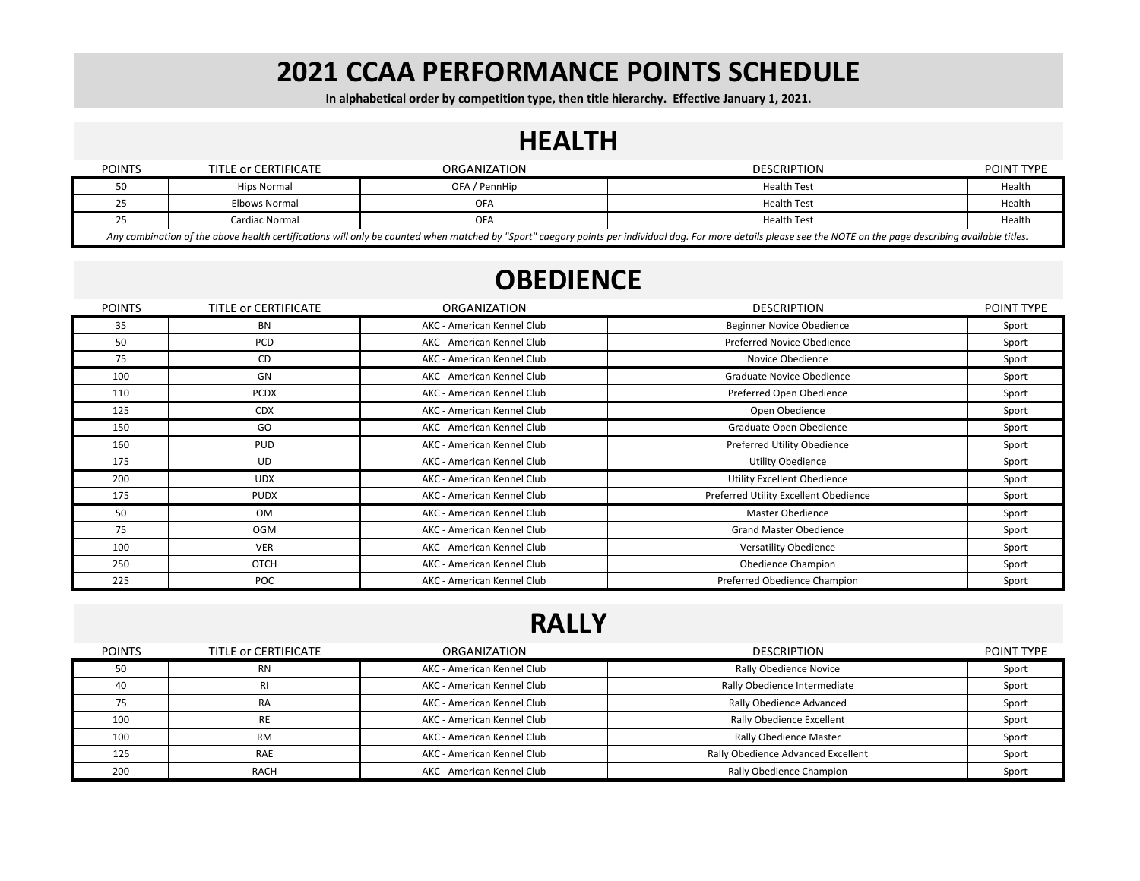**In alphabetical order by competition type, then title hierarchy. Effective January 1, 2021.**

#### **HEALTH**

| <b>POINTS</b>                                                                                                                                                                                                    | TITLE or CERTIFICATE | ORGANIZATION  | <b>DESCRIPTION</b> | POINT TYPE |
|------------------------------------------------------------------------------------------------------------------------------------------------------------------------------------------------------------------|----------------------|---------------|--------------------|------------|
|                                                                                                                                                                                                                  | Hips Normal          | OFA / PennHip | Health Test        | Health     |
|                                                                                                                                                                                                                  | Elbows Normal        | OFA           | <b>Health Test</b> | Health     |
| رے                                                                                                                                                                                                               | Cardiac Normal       | OFA           | <b>Health Test</b> | Health     |
| Any combination of the above health certifications will only be counted when matched by "Sport" caegory points per individual dog. For more details please see the NOTE on the page describing available titles. |                      |               |                    |            |

# **OBEDIENCE**

| <b>POINTS</b> | TITLE OF CERTIFICATE | ORGANIZATION               | <b>DESCRIPTION</b>                    | POINT TYPE |
|---------------|----------------------|----------------------------|---------------------------------------|------------|
| 35            | <b>BN</b>            | AKC - American Kennel Club | Beginner Novice Obedience             | Sport      |
| 50            | <b>PCD</b>           | AKC - American Kennel Club | Preferred Novice Obedience            | Sport      |
| 75            | CD                   | AKC - American Kennel Club | Novice Obedience                      | Sport      |
| 100           | GN                   | AKC - American Kennel Club | Graduate Novice Obedience             | Sport      |
| 110           | <b>PCDX</b>          | AKC - American Kennel Club | Preferred Open Obedience              | Sport      |
| 125           | <b>CDX</b>           | AKC - American Kennel Club | Open Obedience                        | Sport      |
| 150           | GO                   | AKC - American Kennel Club | Graduate Open Obedience               | Sport      |
| 160           | <b>PUD</b>           | AKC - American Kennel Club | Preferred Utility Obedience           | Sport      |
| 175           | UD                   | AKC - American Kennel Club | <b>Utility Obedience</b>              | Sport      |
| 200           | <b>UDX</b>           | AKC - American Kennel Club | Utility Excellent Obedience           | Sport      |
| 175           | <b>PUDX</b>          | AKC - American Kennel Club | Preferred Utility Excellent Obedience | Sport      |
| 50            | <b>OM</b>            | AKC - American Kennel Club | Master Obedience                      | Sport      |
| 75            | <b>OGM</b>           | AKC - American Kennel Club | <b>Grand Master Obedience</b>         | Sport      |
| 100           | <b>VER</b>           | AKC - American Kennel Club | <b>Versatility Obedience</b>          | Sport      |
| 250           | <b>OTCH</b>          | AKC - American Kennel Club | Obedience Champion                    | Sport      |
| 225           | POC                  | AKC - American Kennel Club | Preferred Obedience Champion          | Sport      |

#### **RALLY**

| <b>POINTS</b> | TITLE or CERTIFICATE | <b>ORGANIZATION</b>        | <b>DESCRIPTION</b>                 | POINT TYPE |
|---------------|----------------------|----------------------------|------------------------------------|------------|
| 50            | <b>RN</b>            | AKC - American Kennel Club | Rally Obedience Novice             | Sport      |
| 40            | RI.                  | AKC - American Kennel Club | Rally Obedience Intermediate       | Sport      |
|               | RA                   | AKC - American Kennel Club | Rally Obedience Advanced           | Sport      |
| 100           | <b>RE</b>            | AKC - American Kennel Club | Rally Obedience Excellent          | Sport      |
| 100           | <b>RM</b>            | AKC - American Kennel Club | Rally Obedience Master             | Sport      |
| 125           | <b>RAE</b>           | AKC - American Kennel Club | Rally Obedience Advanced Excellent | Sport      |
| 200           | <b>RACH</b>          | AKC - American Kennel Club | Rally Obedience Champion           | Sport      |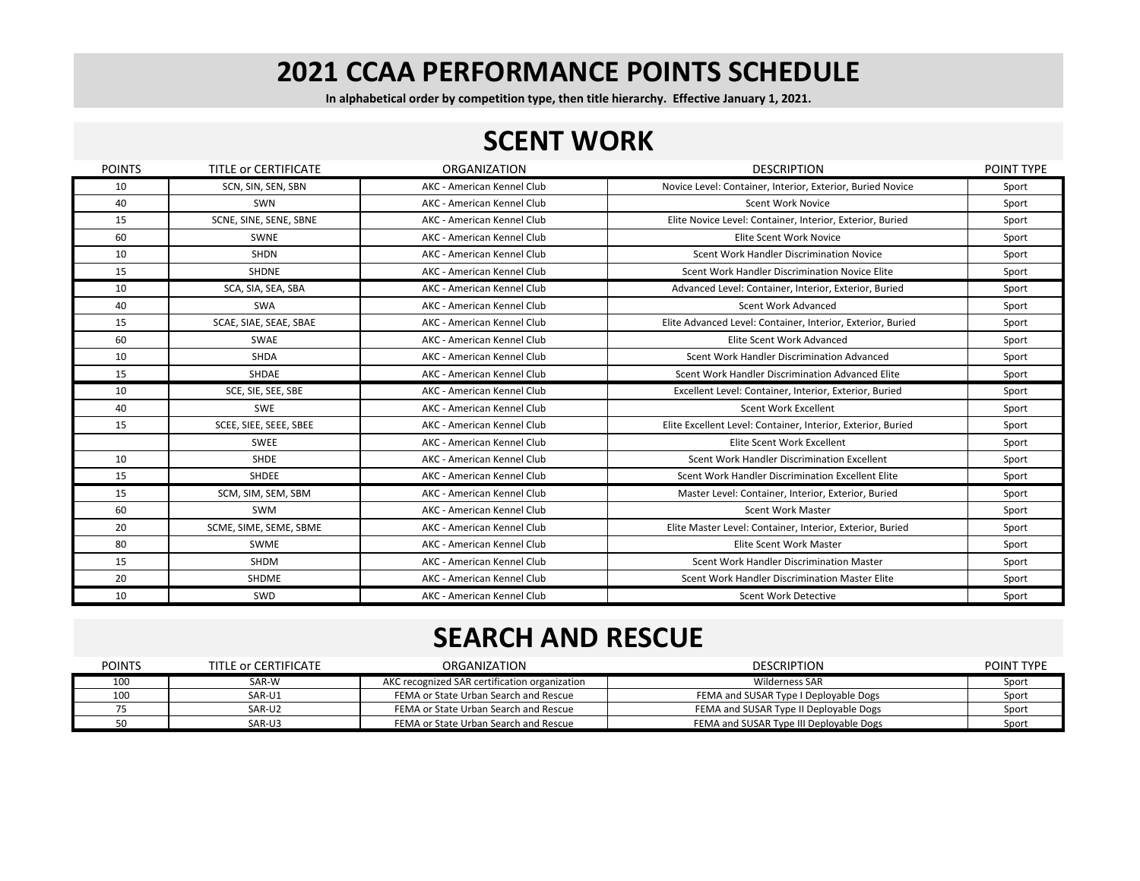**In alphabetical order by competition type, then title hierarchy. Effective January 1, 2021.**

#### **SCENT WORK**

| <b>POINTS</b> | TITLE OF CERTIFICATE   | ORGANIZATION               | <b>DESCRIPTION</b>                                           | <b>POINT TYPE</b> |
|---------------|------------------------|----------------------------|--------------------------------------------------------------|-------------------|
| 10            | SCN, SIN, SEN, SBN     | AKC - American Kennel Club | Novice Level: Container, Interior, Exterior, Buried Novice   | Sport             |
| 40            | <b>SWN</b>             | AKC - American Kennel Club | <b>Scent Work Novice</b>                                     | Sport             |
| 15            | SCNE, SINE, SENE, SBNE | AKC - American Kennel Club | Elite Novice Level: Container, Interior, Exterior, Buried    | Sport             |
| 60            | <b>SWNE</b>            | AKC - American Kennel Club | Elite Scent Work Novice                                      | Sport             |
| 10            | <b>SHDN</b>            | AKC - American Kennel Club | Scent Work Handler Discrimination Novice                     | Sport             |
| 15            | <b>SHDNE</b>           | AKC - American Kennel Club | Scent Work Handler Discrimination Novice Elite               | Sport             |
| 10            | SCA, SIA, SEA, SBA     | AKC - American Kennel Club | Advanced Level: Container, Interior, Exterior, Buried        | Sport             |
| 40            | <b>SWA</b>             | AKC - American Kennel Club | Scent Work Advanced                                          | Sport             |
| 15            | SCAE, SIAE, SEAE, SBAE | AKC - American Kennel Club | Elite Advanced Level: Container, Interior, Exterior, Buried  | Sport             |
| 60            | <b>SWAE</b>            | AKC - American Kennel Club | Elite Scent Work Advanced                                    | Sport             |
| 10            | <b>SHDA</b>            | AKC - American Kennel Club | Scent Work Handler Discrimination Advanced                   | Sport             |
| 15            | SHDAE                  | AKC - American Kennel Club | Scent Work Handler Discrimination Advanced Elite             | Sport             |
| 10            | SCE, SIE, SEE, SBE     | AKC - American Kennel Club | Excellent Level: Container, Interior, Exterior, Buried       | Sport             |
| 40            | <b>SWE</b>             | AKC - American Kennel Club | <b>Scent Work Excellent</b>                                  | Sport             |
| 15            | SCEE, SIEE, SEEE, SBEE | AKC - American Kennel Club | Elite Excellent Level: Container, Interior, Exterior, Buried | Sport             |
|               | <b>SWEE</b>            | AKC - American Kennel Club | Elite Scent Work Excellent                                   | Sport             |
| 10            | SHDE                   | AKC - American Kennel Club | Scent Work Handler Discrimination Excellent                  | Sport             |
| 15            | <b>SHDEE</b>           | AKC - American Kennel Club | Scent Work Handler Discrimination Excellent Elite            | Sport             |
| 15            | SCM, SIM, SEM, SBM     | AKC - American Kennel Club | Master Level: Container, Interior, Exterior, Buried          | Sport             |
| 60            | SWM                    | AKC - American Kennel Club | <b>Scent Work Master</b>                                     | Sport             |
| 20            | SCME, SIME, SEME, SBME | AKC - American Kennel Club | Elite Master Level: Container, Interior, Exterior, Buried    | Sport             |
| 80            | SWME                   | AKC - American Kennel Club | Elite Scent Work Master                                      | Sport             |
| 15            | <b>SHDM</b>            | AKC - American Kennel Club | Scent Work Handler Discrimination Master                     | Sport             |
| 20            | <b>SHDME</b>           | AKC - American Kennel Club | Scent Work Handler Discrimination Master Elite               | Sport             |
| 10            | SWD                    | AKC - American Kennel Club | <b>Scent Work Detective</b>                                  | Sport             |

# **SEARCH AND RESCUE**

| <b>POINTS</b> | TITLE or CERTIFICATE | <b>ORGANIZATION</b>                           | <b>DESCRIPTION</b>                      | <b>POINT TYPE</b> |
|---------------|----------------------|-----------------------------------------------|-----------------------------------------|-------------------|
| 100           | SAR-W                | AKC recognized SAR certification organization | Wilderness SAR                          | Sport             |
| 100           | SAR-U1               | FEMA or State Urban Search and Rescue         | FEMA and SUSAR Type I Deployable Dogs   | Sport             |
|               | SAR-U2               | FEMA or State Urban Search and Rescue         | FEMA and SUSAR Type II Deployable Dogs  | Sport             |
|               | SAR-U3               | FEMA or State Urban Search and Rescue         | FEMA and SUSAR Type III Deployable Dogs | Sport             |